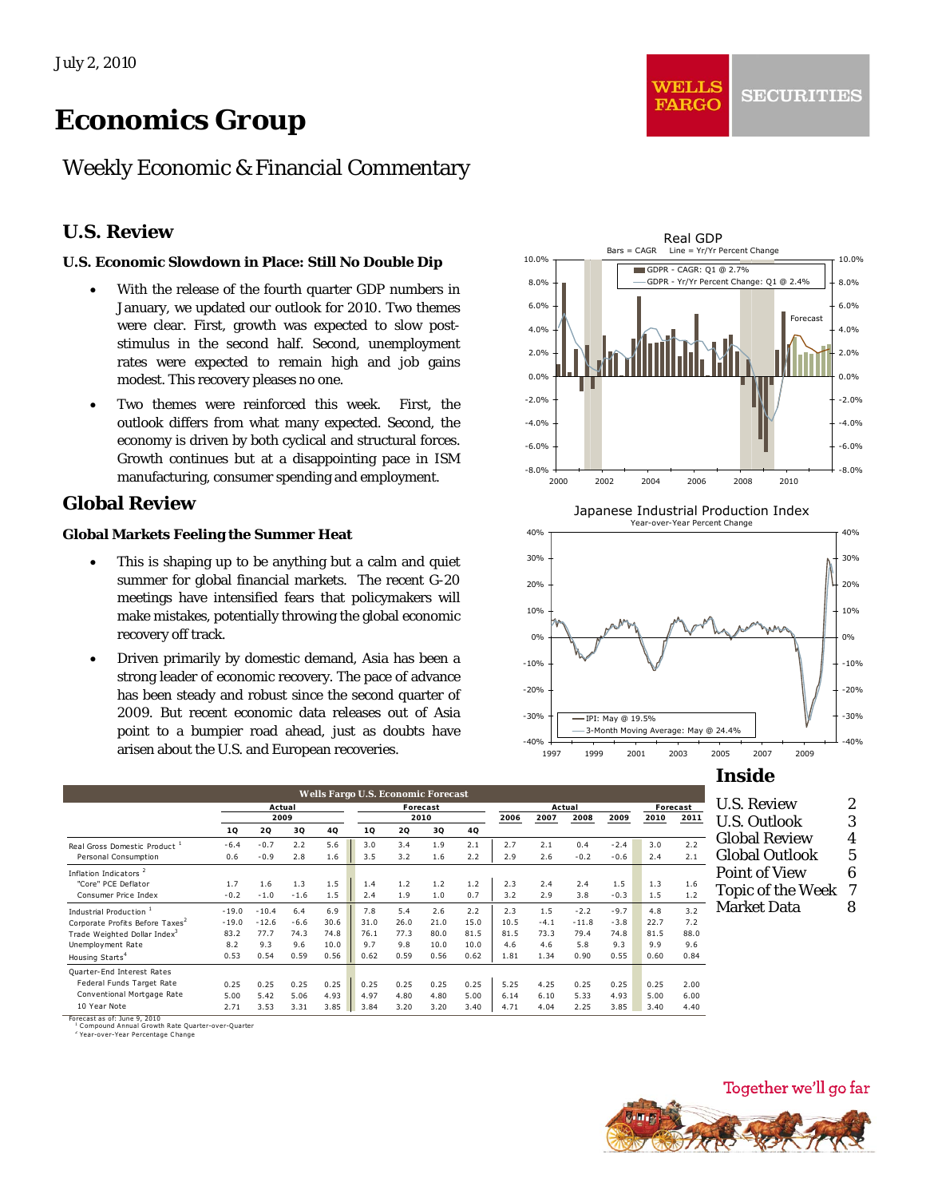# *Economics Group*

# Weekly Economic & Financial Commentary

## **U.S. Review**

## **U.S. Economic Slowdown in Place: Still No Double Dip**

- With the release of the fourth quarter GDP numbers in January, we updated our outlook for 2010. Two themes were clear. First, growth was expected to slow poststimulus in the second half. Second, unemployment rates were expected to remain high and job gains modest. This recovery pleases no one.
- Two themes were reinforced this week. First, the outlook differs from what many expected. Second, the economy is driven by both cyclical and structural forces. Growth continues but at a disappointing pace in ISM manufacturing, consumer spending and employment.

## **Global Review**

#### **Global Markets Feeling the Summer Heat**

- This is shaping up to be anything but a calm and quiet summer for global financial markets. The recent G-20 meetings have intensified fears that policymakers will make mistakes, potentially throwing the global economic recovery off track.
- Driven primarily by domestic demand, Asia has been a strong leader of economic recovery. The pace of advance has been steady and robust since the second quarter of 2009. But recent economic data releases out of Asia point to a bumpier road ahead, just as doubts have arisen about the U.S. and European recoveries.



WEILS

**FARGO** 

Japanese Industrial Production Index



**Inside** 

| <b>U.S. Review</b>       | 2 |
|--------------------------|---|
| <b>U.S. Outlook</b>      | 3 |
| Global Review            | 4 |
| Global Outlook           | 5 |
| Point of View            | 6 |
| <b>Topic of the Week</b> | 7 |
| Market Data              | 8 |
|                          |   |

**Wells Fargo U.S. Economic Forecast Actual Forecast Actual Forecast 2009 2010 2006 2007 2008 2009 2010 2011 1Q 2Q 3Q 4Q 1Q 2Q 3Q 4Q** Real Gross Domestic Product <sup>1</sup> -6.4 -0.7 2.2 5.6 3.0 3.4 1.9 2.1 2.7 2.1 0.4 -2.4 3.0 2.2 Personal Consumption 0.6 -0.9 2.8 1.6 3.5 3.2 1.6 2.2 2.9 2.6 -0.2 -0.6 2.4 2.1 Inflation Indicators<sup>2</sup> "Core" PCE Deflator 1.7 1.6 1.3 1.5 1.4 1.2 1.2 1.2 2.3 2.4 2.4 1.5 1.3 1.6 Consumer Price Index -0.2 -1.0 -1.6 1.5 2.4 1.9 1.0 0.7 3.2 2.9 3.8 -0.3 1.5 1.2 Industrial Production <sup>1</sup> -19.0 -10.4 6.4 6.9 7.8 5.4 2.6 2.2 2.3 1.5 -2.2 -9.7 4.8 3.2<br>Corporate Profits Before Taxes<sup>2</sup> -19.0 -12.6 -6.6 30.6 31.0 26.0 21.0 15.0 10.5 -4.1 -11.8 -3.8 22.7 7.2 Corporate Profits Before Taxes<sup>2</sup> -19.0 -12.6 -6.6 30.6 31.0 26.0 21.0 15.0 10.5 -4.1 -11.8 -3.8 22.7 7.2<br>Trade Weinhted Dollar Index<sup>3</sup> 83.2 77.7 74.3 74.8 76.1 77.3 80.0 81.5 81.5 73.3 79.4 74.8 81.5 88.0 Trade Weighted Dollar Index<sup>3</sup> 83.2 77.7 74.3 74.8 76.1 77.3 80.0 81.5 81.5 73.3 79.4 74.8 81.5 88.0<br>Unemployment Rate 8.2 9.3 9.6 10.0 9.7 9.8 10.0 10.0 4.6 4.6 5.8 9.3 9.9 9.6 Unemployment Rate 8.2 9.3 9.6 10.0 9.7 9.8 10.0 10.0 4.6 4.6 5.8 9.3 9.9 9.6 Housing Starts<sup>4</sup> 0.53 0.54 0.59 0.56 0.62 0.59 0.56 0.62 1.81 1.34 0.90 0.55 0.60 0.84 Quarter-End Interest Rates Federal Funds Target Rate 0.25 0.25 0.25 0.25 0.25 0.25 0.25 0.25 5.25 4.25 0.25 0.25 0.25 2.00 Conventional Mortgage Rate 5.00 5.42 5.06 4.93 4.97 4.80 4.80 5.00 6.14 6.10 5.33 4.93 5.00 6.00 10 Y ear Note 2.71 3.53 3.31 3.85 3.84 3.20 3.20 3.40 4.71 4.04 2.25 3.85 3.40 4.40

Forecast as of: June 9, 2010<br><sup>1</sup> Compound Annual Growth Rate Quarter-over-Quarter<br><sup>2</sup> Year-over-Year Percentage Change

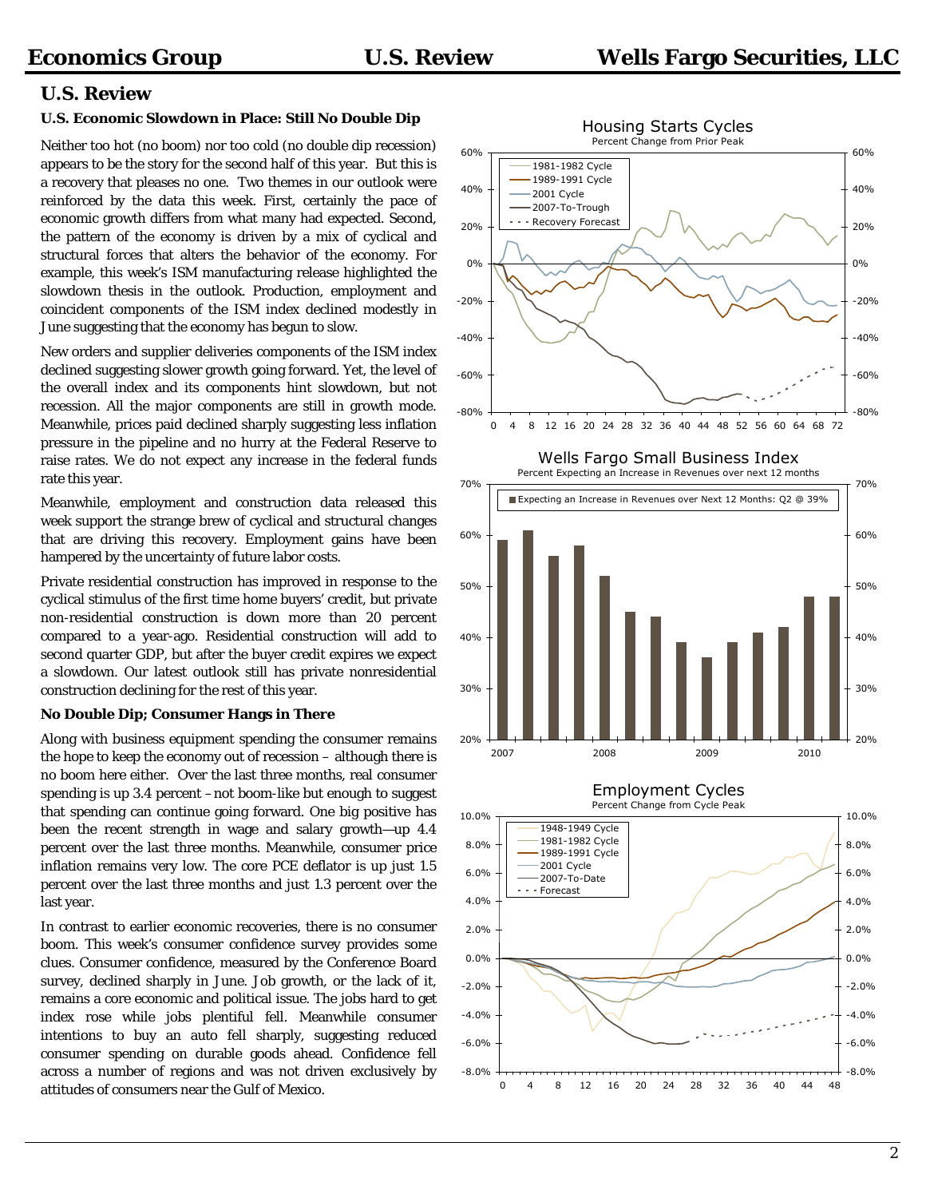### **U.S. Review**

#### **U.S. Economic Slowdown in Place: Still No Double Dip**

Neither too hot (no boom) nor too cold (no double dip recession) appears to be the story for the second half of this year. But this is a recovery that pleases no one. Two themes in our outlook were reinforced by the data this week. First, certainly the pace of economic growth differs from what many had expected. Second, the pattern of the economy is driven by a mix of cyclical and structural forces that alters the behavior of the economy. For example, this week's ISM manufacturing release highlighted the slowdown thesis in the outlook. Production, employment and coincident components of the ISM index declined modestly in June suggesting that the economy has begun to slow.

New orders and supplier deliveries components of the ISM index declined suggesting slower growth going forward. Yet, the level of the overall index and its components hint slowdown, but not recession. All the major components are still in growth mode. Meanwhile, prices paid declined sharply suggesting less inflation pressure in the pipeline and no hurry at the Federal Reserve to raise rates. We do not expect any increase in the federal funds rate this year.

Meanwhile, employment and construction data released this week support the strange brew of cyclical and structural changes that are driving this recovery. Employment gains have been hampered by the uncertainty of future labor costs.

Private residential construction has improved in response to the cyclical stimulus of the first time home buyers' credit, but private non-residential construction is down more than 20 percent compared to a year-ago. Residential construction will add to second quarter GDP, but after the buyer credit expires we expect a slowdown. Our latest outlook still has private nonresidential construction declining for the rest of this year.

#### **No Double Dip; Consumer Hangs in There**

Along with business equipment spending the consumer remains the hope to keep the economy out of recession – although there is no boom here either. Over the last three months, real consumer spending is up 3.4 percent –not boom-like but enough to suggest that spending can continue going forward. One big positive has been the recent strength in wage and salary growth—up 4.4 percent over the last three months. Meanwhile, consumer price inflation remains very low. The core PCE deflator is up just 1.5 percent over the last three months and just 1.3 percent over the last year.

In contrast to earlier economic recoveries, there is no consumer boom. This week's consumer confidence survey provides some clues. Consumer confidence, measured by the Conference Board survey, declined sharply in June. Job growth, or the lack of it, remains a core economic and political issue. The jobs hard to get index rose while jobs plentiful fell. Meanwhile consumer intentions to buy an auto fell sharply, suggesting reduced consumer spending on durable goods ahead. Confidence fell across a number of regions and was not driven exclusively by attitudes of consumers near the Gulf of Mexico.





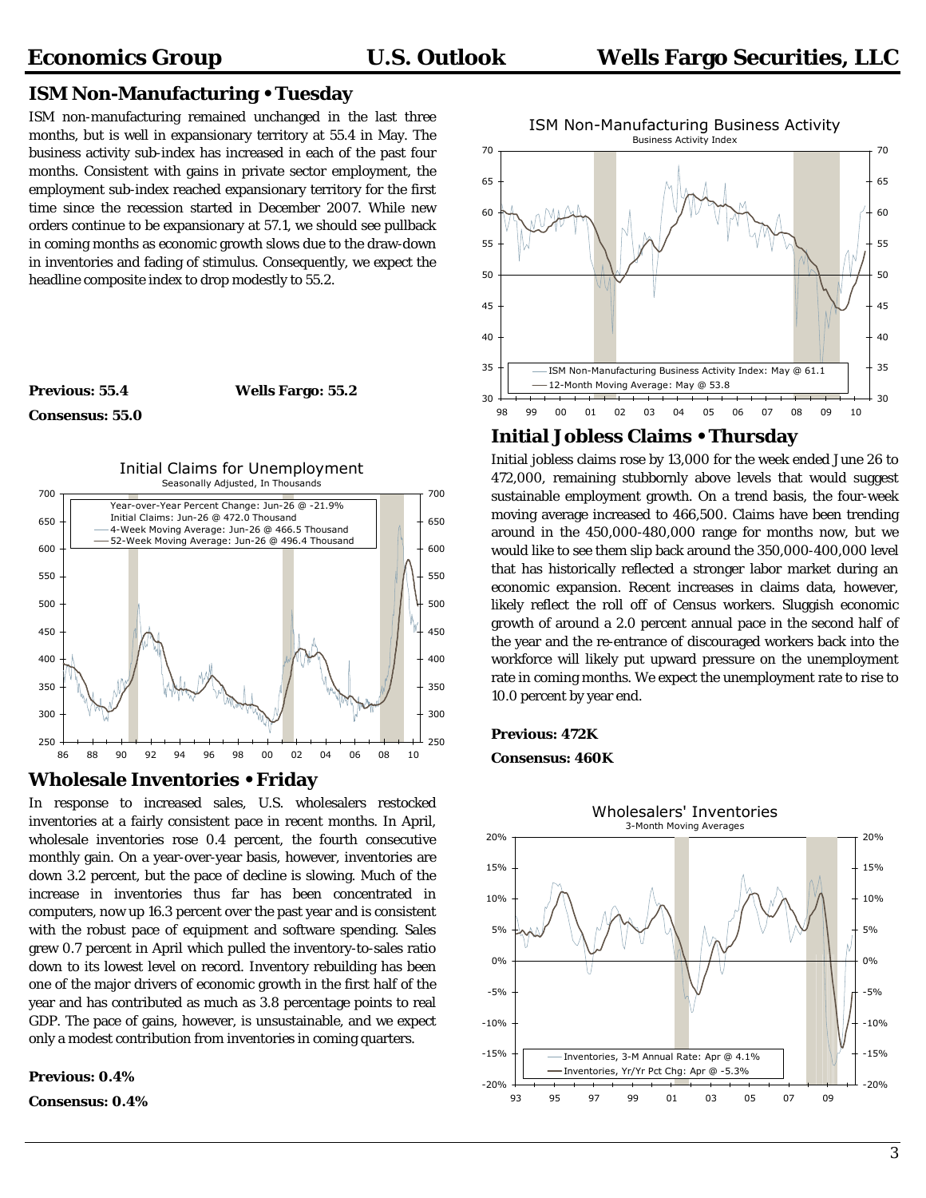## **ISM Non-Manufacturing • Tuesday**

ISM non-manufacturing remained unchanged in the last three months, but is well in expansionary territory at 55.4 in May. The business activity sub-index has increased in each of the past four months. Consistent with gains in private sector employment, the employment sub-index reached expansionary territory for the first time since the recession started in December 2007. While new orders continue to be expansionary at 57.1, we should see pullback in coming months as economic growth slows due to the draw-down in inventories and fading of stimulus. Consequently, we expect the headline composite index to drop modestly to 55.2.

#### **Previous: 55.4 Wells Fargo: 55.2**





#### **Wholesale Inventories • Friday**

In response to increased sales, U.S. wholesalers restocked inventories at a fairly consistent pace in recent months. In April, wholesale inventories rose 0.4 percent, the fourth consecutive monthly gain. On a year-over-year basis, however, inventories are down 3.2 percent, but the pace of decline is slowing. Much of the increase in inventories thus far has been concentrated in computers, now up 16.3 percent over the past year and is consistent with the robust pace of equipment and software spending. Sales grew 0.7 percent in April which pulled the inventory-to-sales ratio down to its lowest level on record. Inventory rebuilding has been one of the major drivers of economic growth in the first half of the year and has contributed as much as 3.8 percentage points to real GDP. The pace of gains, however, is unsustainable, and we expect only a modest contribution from inventories in coming quarters.

### **Previous: 0.4%**

**Consensus: 0.4%** 



## **Initial Jobless Claims • Thursday**

Initial jobless claims rose by 13,000 for the week ended June 26 to 472,000, remaining stubbornly above levels that would suggest sustainable employment growth. On a trend basis, the four-week moving average increased to 466,500. Claims have been trending around in the 450,000-480,000 range for months now, but we would like to see them slip back around the 350,000-400,000 level that has historically reflected a stronger labor market during an economic expansion. Recent increases in claims data, however, likely reflect the roll off of Census workers. Sluggish economic growth of around a 2.0 percent annual pace in the second half of the year and the re-entrance of discouraged workers back into the workforce will likely put upward pressure on the unemployment rate in coming months. We expect the unemployment rate to rise to 10.0 percent by year end.

#### **Previous: 472K**

#### **Consensus: 460K**

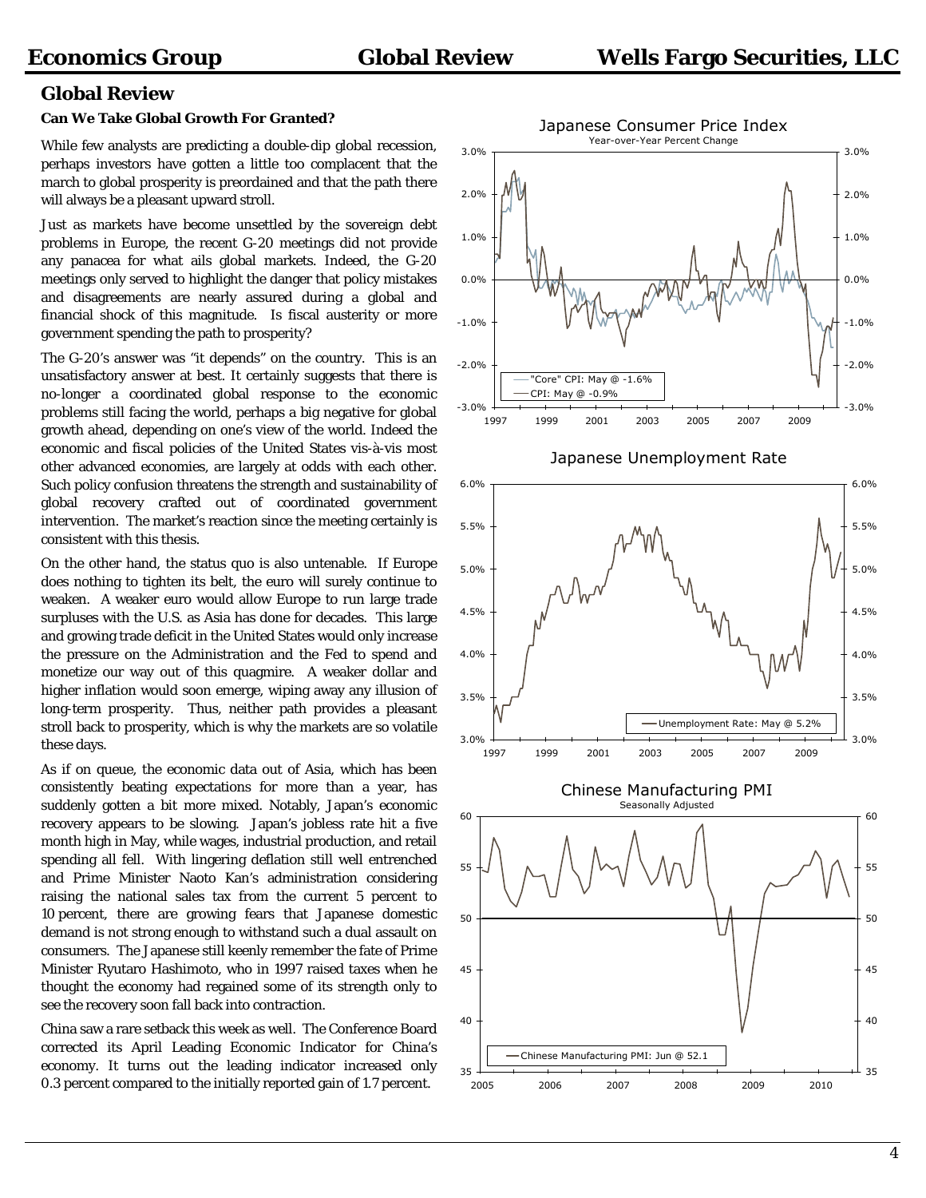## **Global Review**

#### **Can We Take Global Growth For Granted?**

While few analysts are predicting a double-dip global recession, perhaps investors have gotten a little too complacent that the march to global prosperity is preordained and that the path there will always be a pleasant upward stroll.

Just as markets have become unsettled by the sovereign debt problems in Europe, the recent G-20 meetings did not provide any panacea for what ails global markets. Indeed, the G-20 meetings only served to highlight the danger that policy mistakes and disagreements are nearly assured during a global and financial shock of this magnitude. Is fiscal austerity or more government spending the path to prosperity?

The G-20's answer was "it depends" on the country. This is an unsatisfactory answer at best. It certainly suggests that there is no-longer a coordinated global response to the economic problems still facing the world, perhaps a big negative for global growth ahead, depending on one's view of the world. Indeed the economic and fiscal policies of the United States vis-à-vis most other advanced economies, are largely at odds with each other. Such policy confusion threatens the strength and sustainability of global recovery crafted out of coordinated government intervention. The market's reaction since the meeting certainly is consistent with this thesis.

On the other hand, the status quo is also untenable. If Europe does nothing to tighten its belt, the euro will surely continue to weaken. A weaker euro would allow Europe to run large trade surpluses with the U.S. as Asia has done for decades. This large and growing trade deficit in the United States would only increase the pressure on the Administration and the Fed to spend and monetize our way out of this quagmire. A weaker dollar and higher inflation would soon emerge, wiping away any illusion of long-term prosperity. Thus, neither path provides a pleasant stroll back to prosperity, which is why the markets are so volatile these days.

As if on queue, the economic data out of Asia, which has been consistently beating expectations for more than a year, has suddenly gotten a bit more mixed. Notably, Japan's economic recovery appears to be slowing. Japan's jobless rate hit a five month high in May, while wages, industrial production, and retail spending all fell. With lingering deflation still well entrenched and Prime Minister Naoto Kan's administration considering raising the national sales tax from the current 5 percent to 10 percent, there are growing fears that Japanese domestic demand is not strong enough to withstand such a dual assault on consumers. The Japanese still keenly remember the fate of Prime Minister Ryutaro Hashimoto, who in 1997 raised taxes when he thought the economy had regained some of its strength only to see the recovery soon fall back into contraction.

China saw a rare setback this week as well. The Conference Board corrected its April Leading Economic Indicator for China's economy. It turns out the leading indicator increased only 0.3 percent compared to the initially reported gain of 1.7 percent.

35



2005 2006 2007 2008 2009 2010

35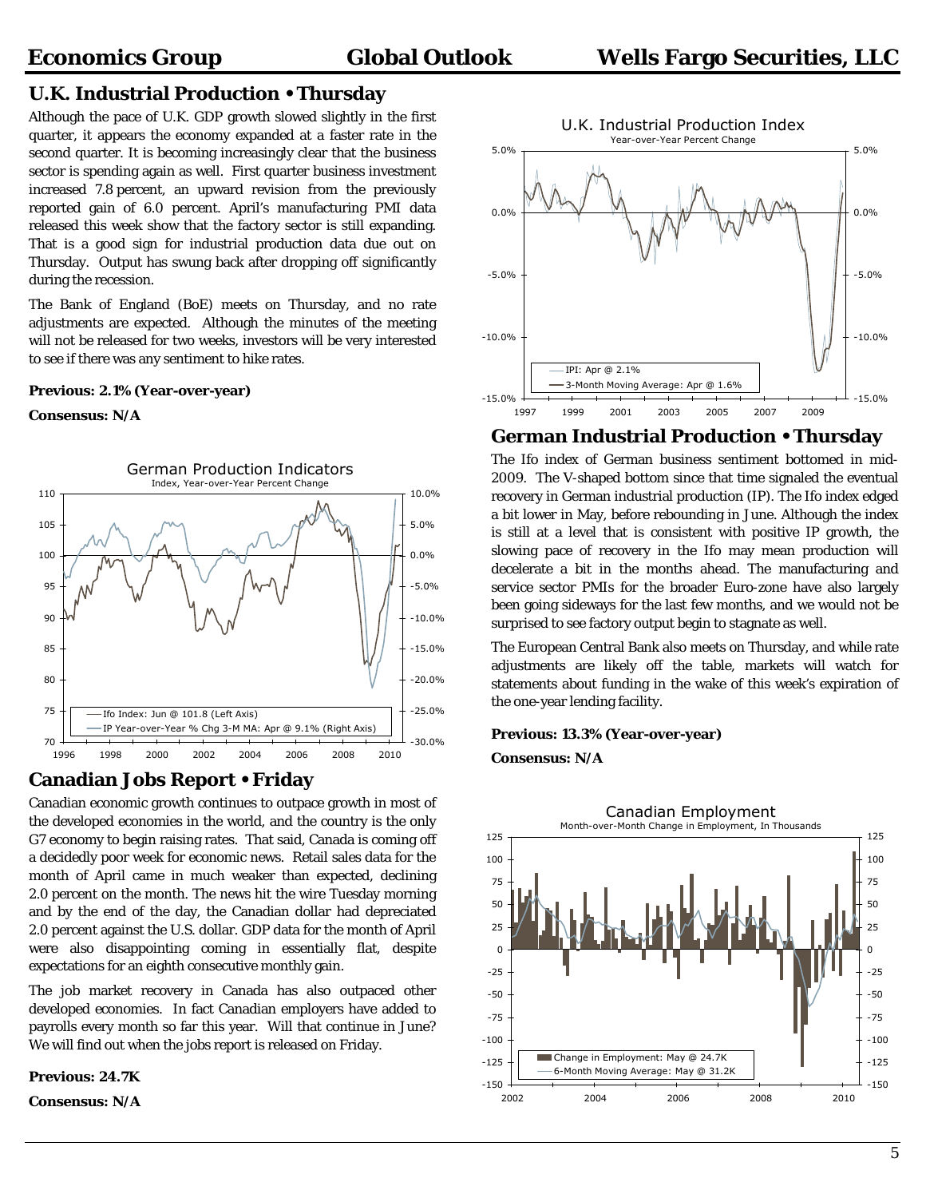## **U.K. Industrial Production • Thursday**

Although the pace of U.K. GDP growth slowed slightly in the first quarter, it appears the economy expanded at a faster rate in the second quarter. It is becoming increasingly clear that the business sector is spending again as well. First quarter business investment increased 7.8 percent, an upward revision from the previously reported gain of 6.0 percent. April's manufacturing PMI data released this week show that the factory sector is still expanding. That is a good sign for industrial production data due out on Thursday. Output has swung back after dropping off significantly during the recession.

The Bank of England (BoE) meets on Thursday, and no rate adjustments are expected. Although the minutes of the meeting will not be released for two weeks, investors will be very interested to see if there was any sentiment to hike rates.

#### **Previous: 2.1% (Year-over-year)**

#### **Consensus: N/A**



## **Canadian Jobs Report • Friday**

Canadian economic growth continues to outpace growth in most of the developed economies in the world, and the country is the only G7 economy to begin raising rates. That said, Canada is coming off a decidedly poor week for economic news. Retail sales data for the month of April came in much weaker than expected, declining 2.0 percent on the month. The news hit the wire Tuesday morning and by the end of the day, the Canadian dollar had depreciated 2.0 percent against the U.S. dollar. GDP data for the month of April were also disappointing coming in essentially flat, despite expectations for an eighth consecutive monthly gain.

The job market recovery in Canada has also outpaced other developed economies. In fact Canadian employers have added to payrolls every month so far this year. Will that continue in June? We will find out when the jobs report is released on Friday.

**Previous: 24.7K** 

**Consensus: N/A** 



## **German Industrial Production • Thursday**

The Ifo index of German business sentiment bottomed in mid-2009. The V-shaped bottom since that time signaled the eventual recovery in German industrial production (IP). The Ifo index edged a bit lower in May, before rebounding in June. Although the index is still at a level that is consistent with positive IP growth, the slowing pace of recovery in the Ifo may mean production will decelerate a bit in the months ahead. The manufacturing and service sector PMIs for the broader Euro-zone have also largely been going sideways for the last few months, and we would not be surprised to see factory output begin to stagnate as well.

The European Central Bank also meets on Thursday, and while rate adjustments are likely off the table, markets will watch for statements about funding in the wake of this week's expiration of the one-year lending facility.

**Consensus: N/A** 

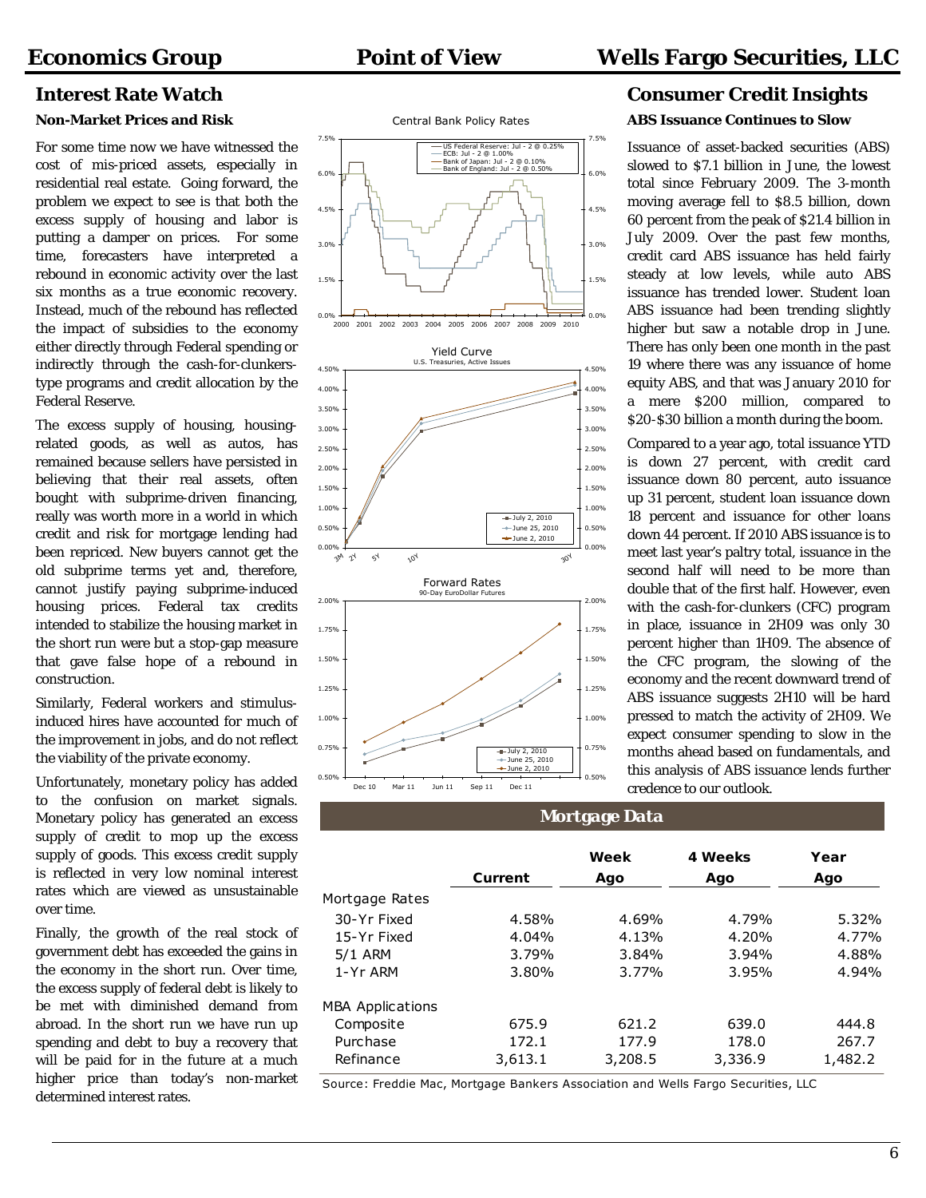#### **Non-Market Prices and Risk**

For some time now we have witnessed the cost of mis-priced assets, especially in residential real estate. Going forward, the problem we expect to see is that both the excess supply of housing and labor is putting a damper on prices. For some time, forecasters have interpreted a rebound in economic activity over the last six months as a true economic recovery. Instead, much of the rebound has reflected the impact of subsidies to the economy either directly through Federal spending or indirectly through the cash-for-clunkerstype programs and credit allocation by the Federal Reserve.

The excess supply of housing, housingrelated goods, as well as autos, has remained because sellers have persisted in believing that their real assets, often bought with subprime-driven financing, really was worth more in a world in which credit and risk for mortgage lending had been repriced. New buyers cannot get the old subprime terms yet and, therefore, cannot justify paying subprime-induced housing prices. Federal tax credits intended to stabilize the housing market in the short run were but a stop-gap measure that gave false hope of a rebound in construction.

Similarly, Federal workers and stimulusinduced hires have accounted for much of the improvement in jobs, and do not reflect the viability of the private economy.

Unfortunately, monetary policy has added to the confusion on market signals. Monetary policy has generated an excess supply of credit to mop up the excess supply of goods. This excess credit supply is reflected in very low nominal interest rates which are viewed as unsustainable over time.

Finally, the growth of the real stock of government debt has exceeded the gains in the economy in the short run. Over time, the excess supply of federal debt is likely to be met with diminished demand from abroad. In the short run we have run up spending and debt to buy a recovery that will be paid for in the future at a much higher price than today's non-market determined interest rates.





## **Interest Rate Watch Consumer Credit Insights ABS Issuance Continues to Slow**

Issuance of asset-backed securities (ABS) slowed to \$7.1 billion in June, the lowest total since February 2009. The 3-month moving average fell to \$8.5 billion, down 60 percent from the peak of \$21.4 billion in July 2009. Over the past few months, credit card ABS issuance has held fairly steady at low levels, while auto ABS issuance has trended lower. Student loan ABS issuance had been trending slightly higher but saw a notable drop in June. There has only been one month in the past 19 where there was any issuance of home equity ABS, and that was January 2010 for a mere \$200 million, compared to \$20-\$30 billion a month during the boom.

Compared to a year ago, total issuance YTD is down 27 percent, with credit card issuance down 80 percent, auto issuance up 31 percent, student loan issuance down 18 percent and issuance for other loans down 44 percent. If 2010 ABS issuance is to meet last year's paltry total, issuance in the second half will need to be more than double that of the first half. However, even with the cash-for-clunkers (CFC) program in place, issuance in 2H09 was only 30 percent higher than 1H09. The absence of the CFC program, the slowing of the economy and the recent downward trend of ABS issuance suggests 2H10 will be hard pressed to match the activity of 2H09. We expect consumer spending to slow in the months ahead based on fundamentals, and this analysis of ABS issuance lends further credence to our outlook.

### **Mortgage Data**

|                         |         | Week    | 4 Weeks | Year    |
|-------------------------|---------|---------|---------|---------|
|                         | Current | Ago     | Ago     | Ago     |
| Mortgage Rates          |         |         |         |         |
| 30-Yr Fixed             | 4.58%   | 4.69%   | 4.79%   | 5.32%   |
| 15-Yr Fixed             | 4.04%   | 4.13%   | 4.20%   | 4.77%   |
| 5/1 ARM                 | 3.79%   | 3.84%   | 3.94%   | 4.88%   |
| 1-Yr ARM                | 3.80%   | 3.77%   | 3.95%   | 4.94%   |
| <b>MBA Applications</b> |         |         |         |         |
| Composite               | 675.9   | 621.2   | 639.0   | 444.8   |
| Purchase                | 172.1   | 177.9   | 178.0   | 267.7   |
| Refinance               | 3,613.1 | 3,208.5 | 3,336.9 | 1,482.2 |

Source: Freddie Mac, Mortgage Bankers Association and Wells Fargo Securities, LLC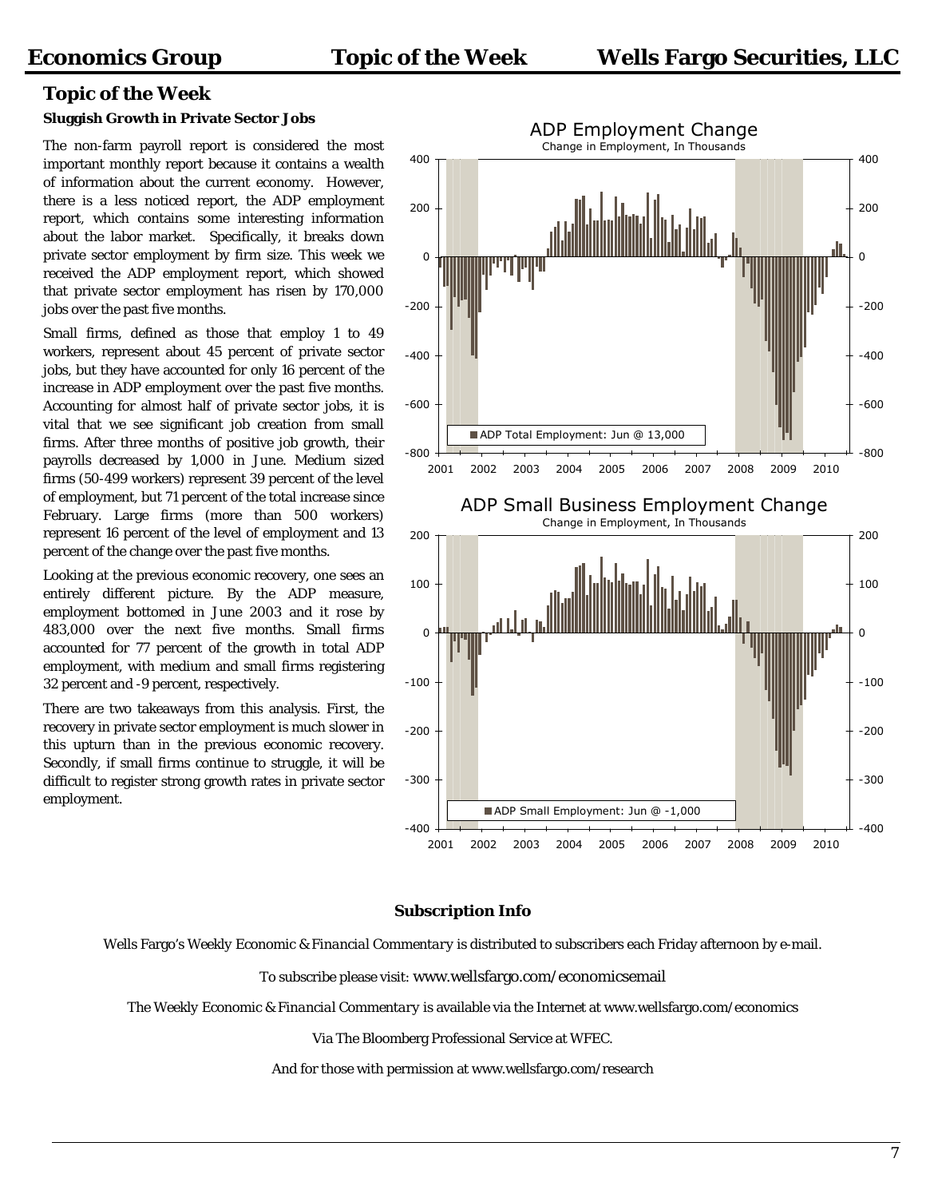## **Topic of the Week**

#### **Sluggish Growth in Private Sector Jobs**

The non-farm payroll report is considered the most important monthly report because it contains a wealth of information about the current economy. However, there is a less noticed report, the ADP employment report, which contains some interesting information about the labor market. Specifically, it breaks down private sector employment by firm size. This week we received the ADP employment report, which showed that private sector employment has risen by 170,000 jobs over the past five months.

Small firms, defined as those that employ 1 to 49 workers, represent about 45 percent of private sector jobs, but they have accounted for only 16 percent of the increase in ADP employment over the past five months. Accounting for almost half of private sector jobs, it is vital that we see significant job creation from small firms. After three months of positive job growth, their payrolls decreased by 1,000 in June. Medium sized firms (50-499 workers) represent 39 percent of the level of employment, but 71 percent of the total increase since February. Large firms (more than 500 workers) represent 16 percent of the level of employment and 13 percent of the change over the past five months.

Looking at the previous economic recovery, one sees an entirely different picture. By the ADP measure, employment bottomed in June 2003 and it rose by 483,000 over the next five months. Small firms accounted for 77 percent of the growth in total ADP employment, with medium and small firms registering 32 percent and -9 percent, respectively.

There are two takeaways from this analysis. First, the recovery in private sector employment is much slower in this upturn than in the previous economic recovery. Secondly, if small firms continue to struggle, it will be difficult to register strong growth rates in private sector employment.



#### **Subscription Info**

Wells Fargo's *Weekly Economic & Financial Commentary* is distributed to subscribers each Friday afternoon by e-mail.

To subscribe please visit: [www.wellsfargo.com/economicsemail](http://www.wellsfargo.com/economicsemail)

The *Weekly Economic & Financial Commentary* is available via the Internet at [www.wellsfargo.com/economics](http://www.wellsfargo.com/economics) 

Via The Bloomberg Professional Service at WFEC.

And for those with permission at [www.wellsfargo.com/research](http://www.wellsfargo.com/research)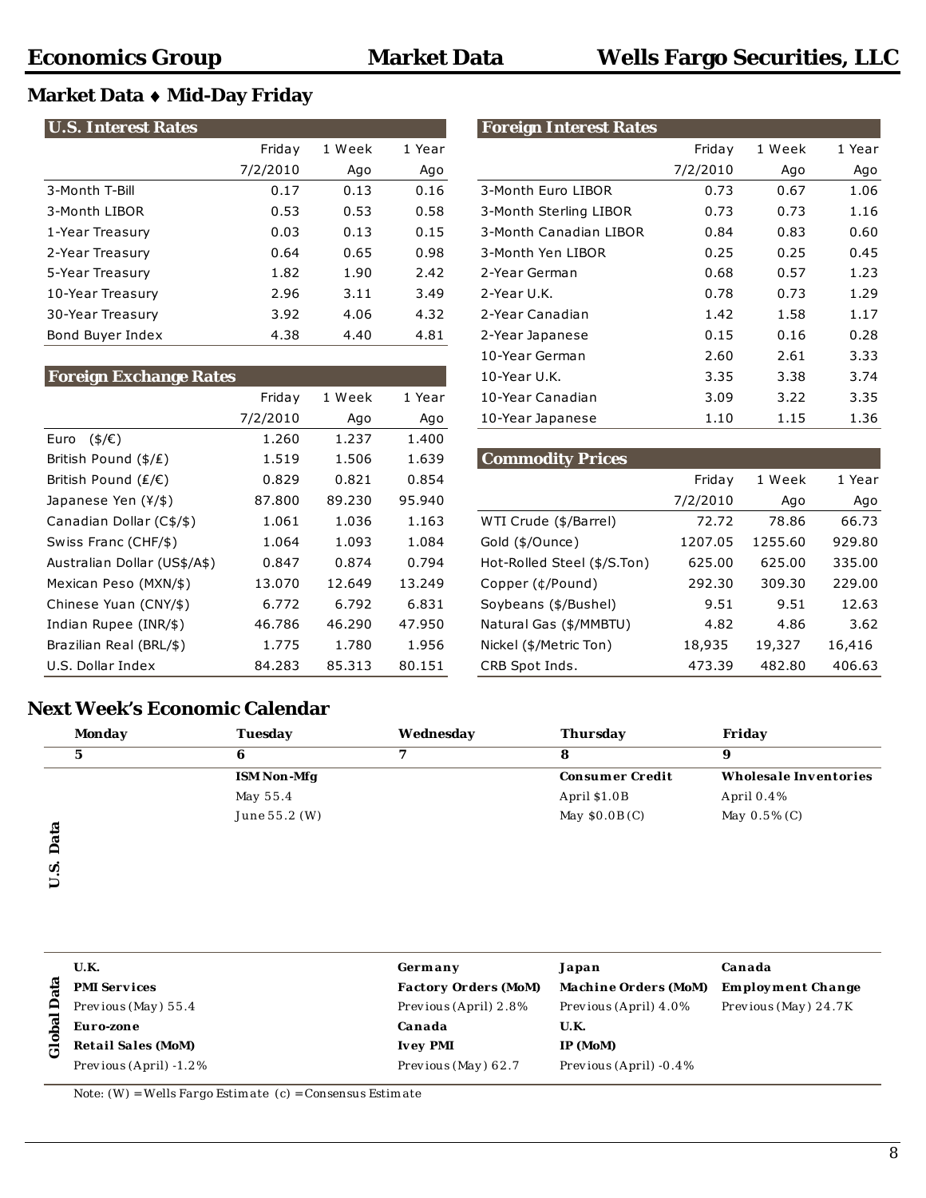## **Market Data** ♦ **Mid-Day Friday**

| <b>U.S. Interest Rates</b> |          |        |        | <b>Foreign Interest Rates</b> |          |        |        |
|----------------------------|----------|--------|--------|-------------------------------|----------|--------|--------|
|                            | Friday   | 1 Week | 1 Year |                               | Friday   | 1 Week | 1 Year |
|                            | 7/2/2010 | Ago    | Ago    |                               | 7/2/2010 | Ago    | Ago    |
| 3-Month T-Bill             | 0.17     | 0.13   | 0.16   | 3-Month Euro LIBOR            | 0.73     | 0.67   | 1.06   |
| 3-Month LIBOR              | 0.53     | 0.53   | 0.58   | 3-Month Sterling LIBOR        | 0.73     | 0.73   | 1.16   |
| 1-Year Treasury            | 0.03     | 0.13   | 0.15   | 3-Month Canadian LIBOR        | 0.84     | 0.83   | 0.60   |
| 2-Year Treasury            | 0.64     | 0.65   | 0.98   | 3-Month Yen LIBOR             | 0.25     | 0.25   | 0.45   |
| 5-Year Treasury            | 1.82     | 1.90   | 2.42   | 2-Year German                 | 0.68     | 0.57   | 1.23   |
| 10-Year Treasury           | 2.96     | 3.11   | 3.49   | 2-Year U.K.                   | 0.78     | 0.73   | 1.29   |
| 30-Year Treasury           | 3.92     | 4.06   | 4.32   | 2-Year Canadian               | 1.42     | 1.58   | 1.17   |
| Bond Buyer Index           | 4.38     | 4.40   | 4.81   | 2-Year Japanese               | 0.15     | 0.16   | 0.28   |

## **U.S. Interest Rates Foreign Interest Rates** Friday 1 Week 1 Year Friday 1 Week 1 Year 7/2/2010 Ago Ago 7/2/2010 Ago Ago 3-Month Euro LIBOR 0.73 0.67 1.06 3-Month LIBOR 0.53 0.53 0.58 3-Month Sterling LIBOR 0.73 0.73 1.16 1-Month Canadian LIBOR 0.84 0.83 0.60 2-Year Treasury 0.64 0.65 0.98 3-Month Yen LIBOR 0.25 0.25 0.45 5-Year Treasury 1.82 1.90 2.42 2-Year German 0.68 0.57 1.23 2-Year Canadian 1.42 1.58 1.17 2-Year Japanese **0.15** 0.16 0.28

| <b>Foreign Exchange Rates</b> |          |        |        | 10-Year U.K.                | 3.35     | 3.38    | 3.74   |
|-------------------------------|----------|--------|--------|-----------------------------|----------|---------|--------|
|                               | Friday   | 1 Week | 1 Year | 10-Year Canadian            | 3.09     | 3.22    | 3.35   |
|                               | 7/2/2010 | Ago    | Ago    | 10-Year Japanese            | 1.10     | 1.15    | 1.36   |
| $($ \$/ $\epsilon$ )<br>Euro  | 1.260    | 1.237  | 1.400  |                             |          |         |        |
| British Pound (\$/£)          | 1.519    | 1.506  | 1.639  | <b>Commodity Prices</b>     |          |         |        |
| British Pound (£/€)           | 0.829    | 0.821  | 0.854  |                             | Friday   | 1 Week  | 1 Year |
| Japanese Yen $(Y/\$)$         | 87.800   | 89.230 | 95.940 |                             | 7/2/2010 | Ago     | Ago    |
| Canadian Dollar (C\$/\$)      | 1.061    | 1.036  | 1.163  | WTI Crude (\$/Barrel)       | 72.72    | 78.86   | 66.73  |
| Swiss Franc (CHF/\$)          | 1.064    | 1.093  | 1.084  | Gold (\$/Ounce)             | 1207.05  | 1255.60 | 929.80 |
| Australian Dollar (US\$/A\$)  | 0.847    | 0.874  | 0.794  | Hot-Rolled Steel (\$/S.Ton) | 625.00   | 625.00  | 335.00 |
| Mexican Peso (MXN/\$)         | 13.070   | 12.649 | 13.249 | Copper (¢/Pound)            | 292.30   | 309.30  | 229.00 |
| Chinese Yuan (CNY/\$)         | 6.772    | 6.792  | 6.831  | Soybeans (\$/Bushel)        | 9.51     | 9.51    | 12.63  |
| Indian Rupee (INR/\$)         | 46.786   | 46.290 | 47.950 | Natural Gas (\$/MMBTU)      | 4.82     | 4.86    | 3.62   |
| Brazilian Real (BRL/\$)       | 1.775    | 1.780  | 1.956  | Nickel (\$/Metric Ton)      | 18,935   | 19,327  | 16,416 |
| U.S. Dollar Index             | 84.283   | 85.313 | 80.151 | CRB Spot Inds.              | 473.39   | 482.80  | 406.63 |

| British Pound (\$/£)         | 1.519  | 1.506  | 1.639  | <b>Commodity Prices</b>     |          |         |        |
|------------------------------|--------|--------|--------|-----------------------------|----------|---------|--------|
| British Pound (₤/€)          | 0.829  | 0.821  | 0.854  |                             | Friday   | 1 Week  | 1 Year |
| Japanese Yen (¥/\$)          | 87.800 | 89.230 | 95.940 |                             | 7/2/2010 | Ago     | Ago    |
| Canadian Dollar (C\$/\$)     | 1.061  | 1.036  | 1.163  | WTI Crude (\$/Barrel)       | 72.72    | 78.86   | 66.73  |
| Swiss Franc (CHF/\$)         | 1.064  | 1.093  | 1.084  | Gold (\$/Ounce)             | 1207.05  | 1255.60 | 929.80 |
| Australian Dollar (US\$/A\$) | 0.847  | 0.874  | 0.794  | Hot-Rolled Steel (\$/S.Ton) | 625.00   | 625.00  | 335.00 |
| Mexican Peso (MXN/\$)        | 13.070 | 12.649 | 13.249 | Copper (¢/Pound)            | 292.30   | 309.30  | 229.00 |
| Chinese Yuan (CNY/\$)        | 6.772  | 6.792  | 6.831  | Soybeans (\$/Bushel)        | 9.51     | 9.51    | 12.63  |
| Indian Rupee (INR/\$)        | 46.786 | 46.290 | 47.950 | Natural Gas (\$/MMBTU)      | 4.82     | 4.86    | 3.62   |
| Brazilian Real (BRL/\$)      | 1.775  | 1.780  | 1.956  | Nickel (\$/Metric Ton)      | 18,935   | 19,327  | 16,416 |
| U.S. Dollar Index            | 84.283 | 85.313 | 80.151 | CRB Spot Inds.              | 473.39   | 482.80  | 406.63 |

10-Year German 2.60 2.61 3.33

## **Next Week's Economic Calendar**

| Monday | Tuesday            | Wednesday | Thursday               | Friday                |
|--------|--------------------|-----------|------------------------|-----------------------|
| G      | 6                  |           | 8                      | 9                     |
|        | <b>ISM Non-Mfg</b> |           | <b>Consumer Credit</b> | Wholesale Inventories |
|        | May 55.4           |           | April \$1.0B           | April $0.4\%$         |
|        | June 55.2 (W)      |           | May $$0.0B(C)$         | May $0.5\%$ (C)       |
|        |                    |           |                        |                       |
|        |                    |           |                        |                       |
| n      |                    |           |                        |                       |

|             | <b>U.K.</b>               | Germany                     | Japan                       | Canada                   |
|-------------|---------------------------|-----------------------------|-----------------------------|--------------------------|
|             | <b>PMI Services</b>       | <b>Factory Orders (MoM)</b> | <b>Machine Orders (MoM)</b> | <b>Employment Change</b> |
| Å           | Previous (May) $55.4$     | Previous (April) 2.8%       | Previous (April) 4.0%       | Previous (May) 24.7K     |
| obal        | Euro-zone                 | Canada                      | U.K.                        |                          |
| $\tilde{c}$ | <b>Retail Sales (MoM)</b> | <b>Ivey PMI</b>             | IP (MoM)                    |                          |
|             | Previous $(Apri) -1.2%$   | Previous (May) $62.7$       | Previous (April) $-0.4\%$   |                          |

Note:  $(W)$  = Wells Fargo Estimate (c) = Consensus Estimate